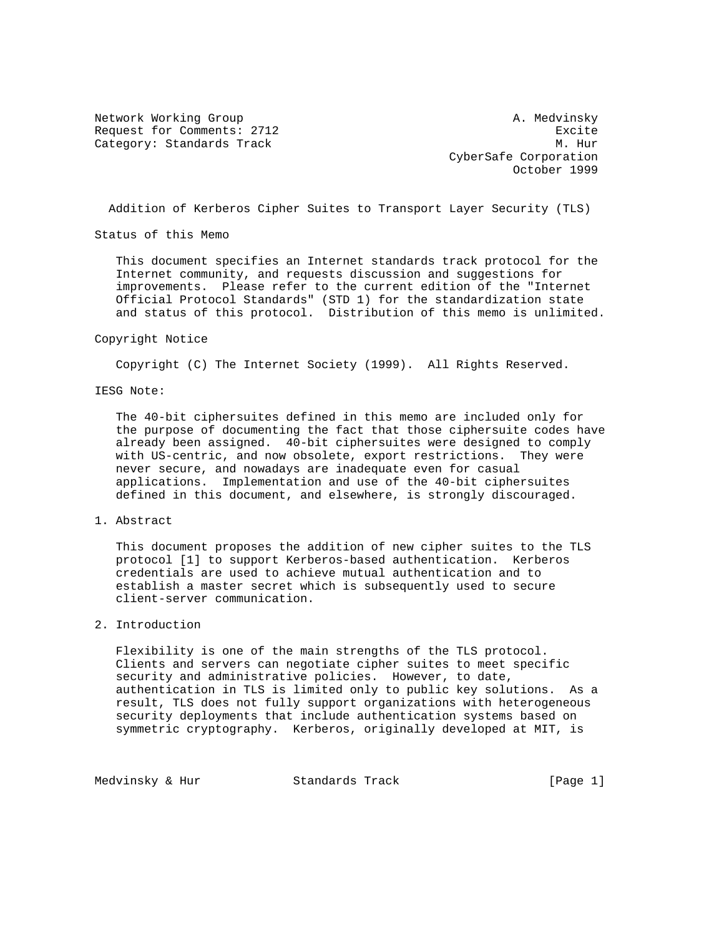Network Working Group and A. Medvinsky Request for Comments: 2712 Excite Category: Standards Track M. Hur

 CyberSafe Corporation October 1999

Addition of Kerberos Cipher Suites to Transport Layer Security (TLS)

Status of this Memo

 This document specifies an Internet standards track protocol for the Internet community, and requests discussion and suggestions for improvements. Please refer to the current edition of the "Internet Official Protocol Standards" (STD 1) for the standardization state and status of this protocol. Distribution of this memo is unlimited.

#### Copyright Notice

Copyright (C) The Internet Society (1999). All Rights Reserved.

## IESG Note:

 The 40-bit ciphersuites defined in this memo are included only for the purpose of documenting the fact that those ciphersuite codes have already been assigned. 40-bit ciphersuites were designed to comply with US-centric, and now obsolete, export restrictions. They were never secure, and nowadays are inadequate even for casual applications. Implementation and use of the 40-bit ciphersuites defined in this document, and elsewhere, is strongly discouraged.

## 1. Abstract

 This document proposes the addition of new cipher suites to the TLS protocol [1] to support Kerberos-based authentication. Kerberos credentials are used to achieve mutual authentication and to establish a master secret which is subsequently used to secure client-server communication.

# 2. Introduction

 Flexibility is one of the main strengths of the TLS protocol. Clients and servers can negotiate cipher suites to meet specific security and administrative policies. However, to date, authentication in TLS is limited only to public key solutions. As a result, TLS does not fully support organizations with heterogeneous security deployments that include authentication systems based on symmetric cryptography. Kerberos, originally developed at MIT, is

Medvinsky & Hur Standards Track [Page 1]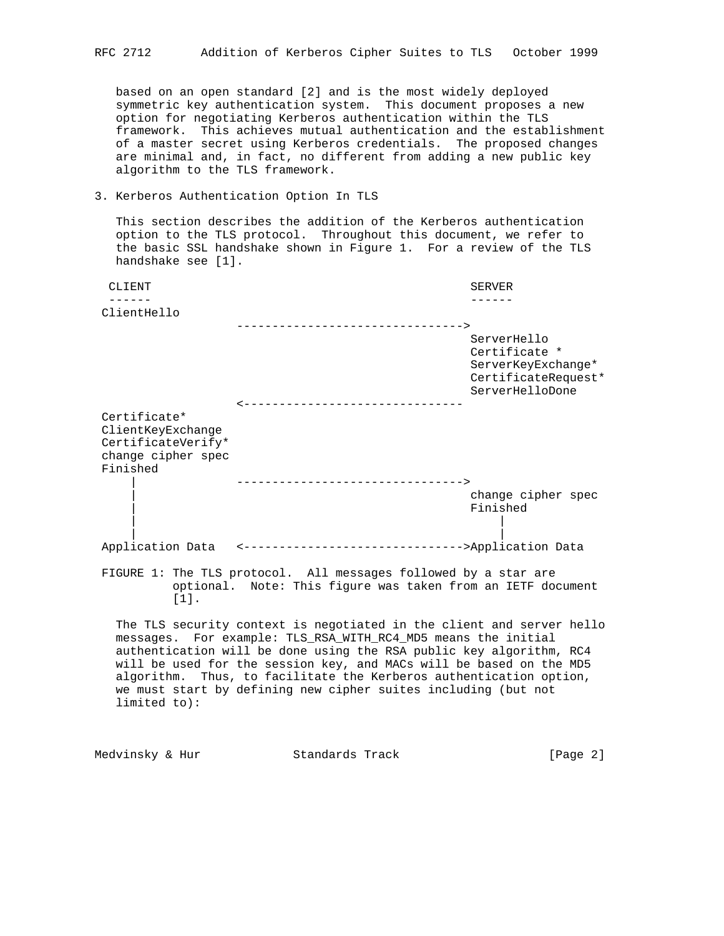based on an open standard [2] and is the most widely deployed symmetric key authentication system. This document proposes a new option for negotiating Kerberos authentication within the TLS framework. This achieves mutual authentication and the establishment of a master secret using Kerberos credentials. The proposed changes are minimal and, in fact, no different from adding a new public key algorithm to the TLS framework.

## 3. Kerberos Authentication Option In TLS

 This section describes the addition of the Kerberos authentication option to the TLS protocol. Throughout this document, we refer to the basic SSL handshake shown in Figure 1. For a review of the TLS handshake see [1].

| CLIENT             |                                                                                                                                | <b>SERVER</b>                                                                                |
|--------------------|--------------------------------------------------------------------------------------------------------------------------------|----------------------------------------------------------------------------------------------|
|                    |                                                                                                                                |                                                                                              |
| ClientHello        |                                                                                                                                |                                                                                              |
|                    | ---------------------------------->                                                                                            |                                                                                              |
|                    | -----------------------------                                                                                                  | ServerHello<br>Certificate *<br>ServerKeyExchange*<br>CertificateRequest*<br>ServerHelloDone |
| Certificate*       |                                                                                                                                |                                                                                              |
| ClientKeyExchange  |                                                                                                                                |                                                                                              |
| CertificateVerify* |                                                                                                                                |                                                                                              |
| change cipher spec |                                                                                                                                |                                                                                              |
| Finished           |                                                                                                                                |                                                                                              |
|                    | ---------------------------------->                                                                                            |                                                                                              |
|                    |                                                                                                                                | change cipher spec                                                                           |
|                    |                                                                                                                                | Finished                                                                                     |
|                    |                                                                                                                                |                                                                                              |
| Application Data   | <--------------------------------->Application Data                                                                            |                                                                                              |
| [1].               | FIGURE 1: The TLS protocol. All messages followed by a star are<br>optional. Note: This figure was taken from an IETF document |                                                                                              |

 The TLS security context is negotiated in the client and server hello messages. For example: TLS\_RSA\_WITH\_RC4\_MD5 means the initial authentication will be done using the RSA public key algorithm, RC4 will be used for the session key, and MACs will be based on the MD5 algorithm. Thus, to facilitate the Kerberos authentication option, we must start by defining new cipher suites including (but not limited to):

| Medvinsky & Hur | Standards Track | [Page $2$ ] |  |  |
|-----------------|-----------------|-------------|--|--|
|-----------------|-----------------|-------------|--|--|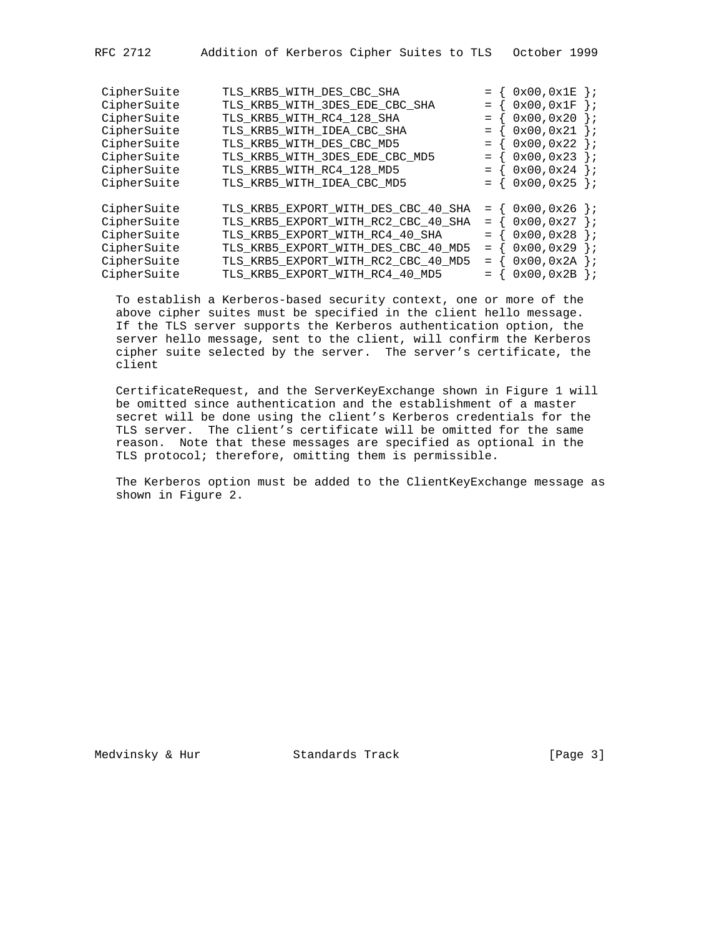| Addition of Kerberos Cipher Suites to TLS 0ctober 1999<br>RFC 2712 |  |
|--------------------------------------------------------------------|--|
|--------------------------------------------------------------------|--|

| CipherSuite<br>CipherSuite<br>CipherSuite<br>CipherSuite<br>CipherSuite<br>CipherSuite<br>CipherSuite<br>CipherSuite | TLS_KRB5_WITH_DES_CBC_SHA<br>TLS_KRB5_WITH_3DES_EDE_CBC_SHA<br>TLS KRB5 WITH RC4 128 SHA<br>TLS_KRB5_WITH_IDEA_CBC_SHA<br>TLS_KRB5_WITH_DES_CBC_MD5<br>TLS KRB5 WITH 3DES EDE CBC MD5<br>TLS KRB5 WITH RC4 128 MD5<br>TLS_KRB5_WITH_IDEA_CBC_MD5 | $=$<br>$=$<br>$=$<br>$=$ | 0x00,0x1E<br>$\cdot$<br>0x00,0x1F<br>$\vert \cdot \rangle$<br>0x00, 0x20<br>$\cdot$ :<br>0x00, 0x21<br>$\, \cdot \,$<br>0x00,0x22<br>$\}$ ;<br>0x00, 0x23<br>$\cdot$ :<br>$0x00, 0x24$ };<br>$0x00, 0x25$ }; |
|----------------------------------------------------------------------------------------------------------------------|--------------------------------------------------------------------------------------------------------------------------------------------------------------------------------------------------------------------------------------------------|--------------------------|--------------------------------------------------------------------------------------------------------------------------------------------------------------------------------------------------------------|
| CipherSuite<br>CipherSuite<br>CipherSuite<br>CipherSuite<br>CipherSuite<br>CipherSuite                               | TLS KRB5 EXPORT WITH DES CBC 40 SHA<br>TLS KRB5 EXPORT WITH RC2 CBC 40 SHA<br>TLS KRB5 EXPORT WITH RC4 40 SHA<br>TLS_KRB5_EXPORT_WITH_DES_CBC_40_MD5<br>TLS KRB5 EXPORT WITH RC2 CBC 40 MD5<br>TLS_KRB5_EXPORT_WITH_RC4_40_MD5                   | $=$<br>$=$<br>$=$<br>$=$ | 0x00,0x26<br>$\cdot$<br>0x00,0x27<br>$\, \cdot \,$<br>0x00,0x28<br>$\cdot$<br>0x00,0x29<br>$\cdot$ :<br>0x00,0x2A<br>$\cdot$<br>$0x00, 0x2B$ };                                                              |

 To establish a Kerberos-based security context, one or more of the above cipher suites must be specified in the client hello message. If the TLS server supports the Kerberos authentication option, the server hello message, sent to the client, will confirm the Kerberos cipher suite selected by the server. The server's certificate, the client

 CertificateRequest, and the ServerKeyExchange shown in Figure 1 will be omitted since authentication and the establishment of a master secret will be done using the client's Kerberos credentials for the TLS server. The client's certificate will be omitted for the same reason. Note that these messages are specified as optional in the TLS protocol; therefore, omitting them is permissible.

 The Kerberos option must be added to the ClientKeyExchange message as shown in Figure 2.

Medvinsky & Hur Standards Track [Page 3]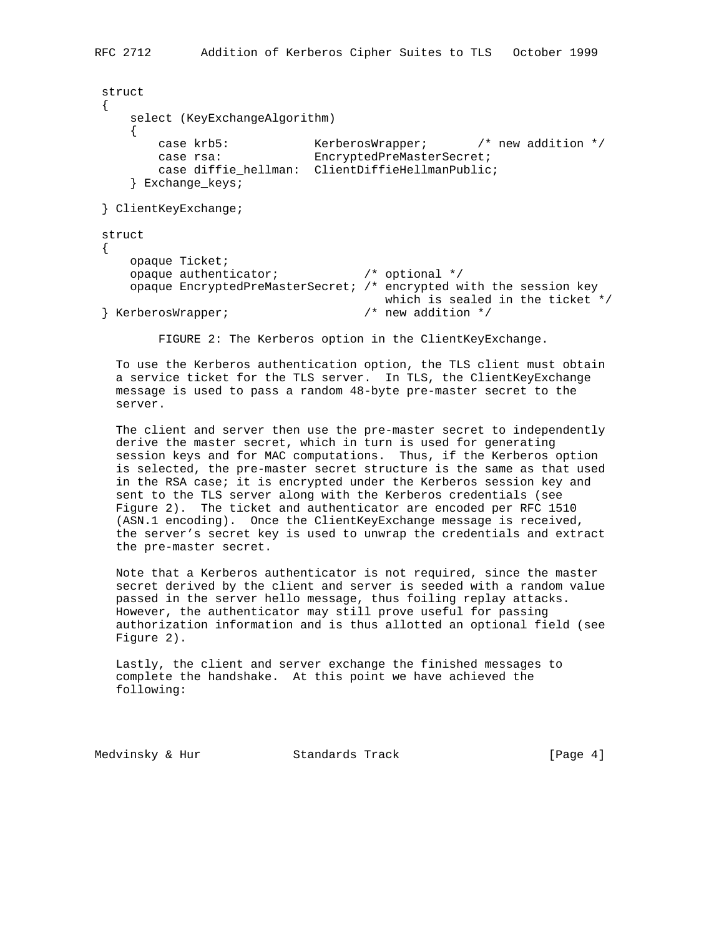```
 struct
\left\{ \right. select (KeyExchangeAlgorithm)
    \{ case krb5: KerberosWrapper; /* new addition */
case rsa: EncryptedPreMasterSecret;
         case diffie_hellman: ClientDiffieHellmanPublic;
     } Exchange_keys;
 } ClientKeyExchange;
 struct
 {
     opaque Ticket;
     opaque authenticator; /* optional */
     opaque EncryptedPreMasterSecret; /* encrypted with the session key
                                    which is sealed in the ticket */ /* new addition */} KerberosWrapper;
```
FIGURE 2: The Kerberos option in the ClientKeyExchange.

 To use the Kerberos authentication option, the TLS client must obtain a service ticket for the TLS server. In TLS, the ClientKeyExchange message is used to pass a random 48-byte pre-master secret to the server.

 The client and server then use the pre-master secret to independently derive the master secret, which in turn is used for generating session keys and for MAC computations. Thus, if the Kerberos option is selected, the pre-master secret structure is the same as that used in the RSA case; it is encrypted under the Kerberos session key and sent to the TLS server along with the Kerberos credentials (see Figure 2). The ticket and authenticator are encoded per RFC 1510 (ASN.1 encoding). Once the ClientKeyExchange message is received, the server's secret key is used to unwrap the credentials and extract the pre-master secret.

 Note that a Kerberos authenticator is not required, since the master secret derived by the client and server is seeded with a random value passed in the server hello message, thus foiling replay attacks. However, the authenticator may still prove useful for passing authorization information and is thus allotted an optional field (see Figure 2).

 Lastly, the client and server exchange the finished messages to complete the handshake. At this point we have achieved the following:

Medvinsky & Hur Standards Track [Page 4]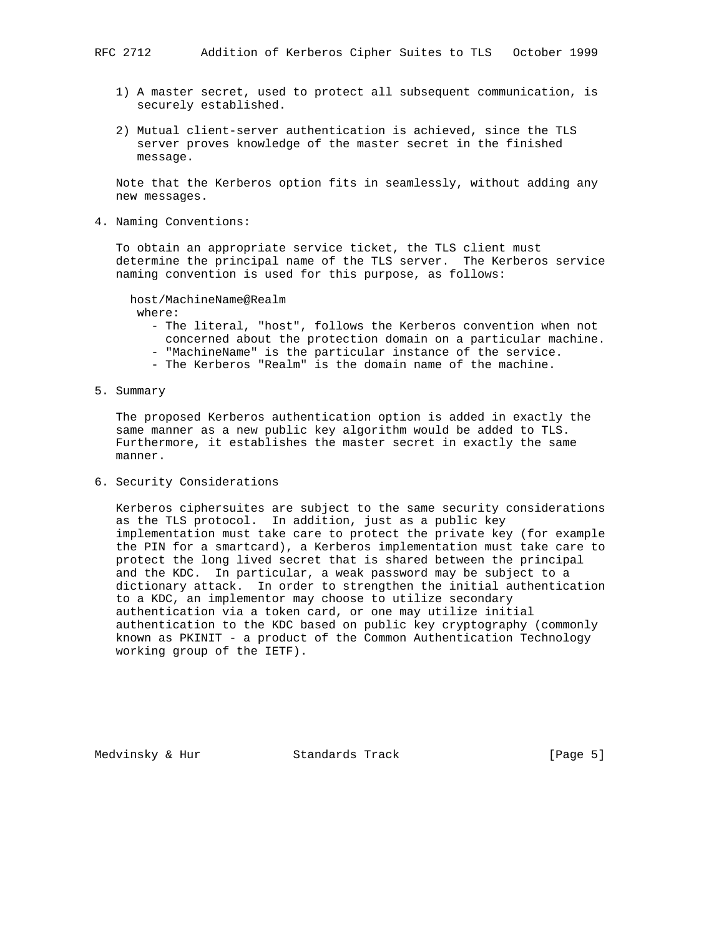- 1) A master secret, used to protect all subsequent communication, is securely established.
- 2) Mutual client-server authentication is achieved, since the TLS server proves knowledge of the master secret in the finished message.

 Note that the Kerberos option fits in seamlessly, without adding any new messages.

4. Naming Conventions:

 To obtain an appropriate service ticket, the TLS client must determine the principal name of the TLS server. The Kerberos service naming convention is used for this purpose, as follows:

```
 host/MachineName@Realm
  where:
```
- The literal, "host", follows the Kerberos convention when not concerned about the protection domain on a particular machine. - "MachineName" is the particular instance of the service.
- The Kerberos "Realm" is the domain name of the machine.
- 5. Summary

 The proposed Kerberos authentication option is added in exactly the same manner as a new public key algorithm would be added to TLS. Furthermore, it establishes the master secret in exactly the same manner.

6. Security Considerations

 Kerberos ciphersuites are subject to the same security considerations as the TLS protocol. In addition, just as a public key implementation must take care to protect the private key (for example the PIN for a smartcard), a Kerberos implementation must take care to protect the long lived secret that is shared between the principal and the KDC. In particular, a weak password may be subject to a dictionary attack. In order to strengthen the initial authentication to a KDC, an implementor may choose to utilize secondary authentication via a token card, or one may utilize initial authentication to the KDC based on public key cryptography (commonly known as PKINIT - a product of the Common Authentication Technology working group of the IETF).

Medvinsky & Hur Standards Track [Page 5]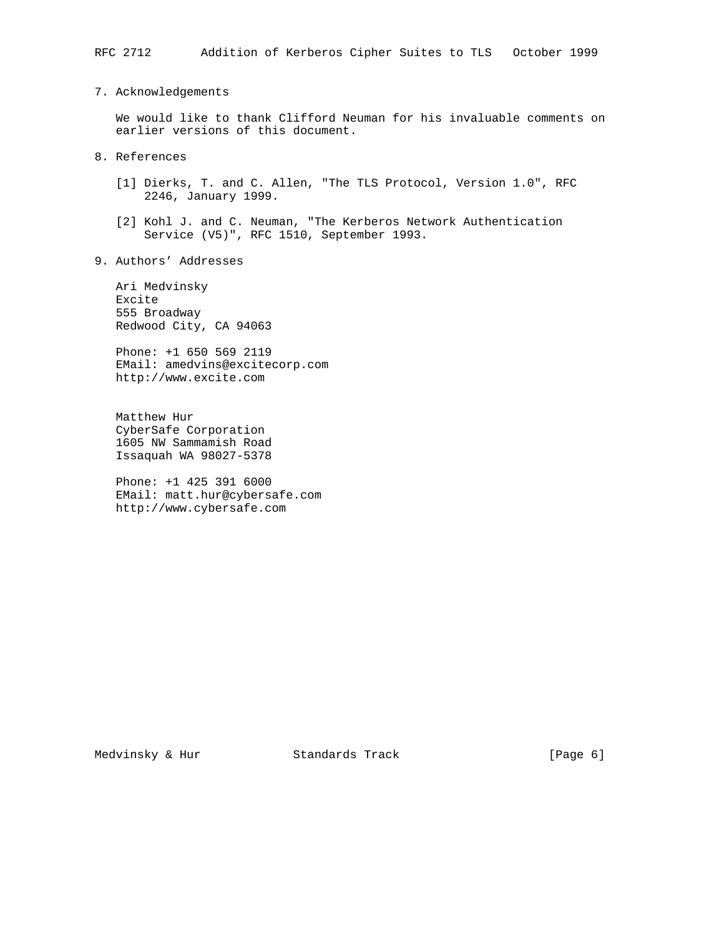7. Acknowledgements

 We would like to thank Clifford Neuman for his invaluable comments on earlier versions of this document.

- 8. References
	- [1] Dierks, T. and C. Allen, "The TLS Protocol, Version 1.0", RFC 2246, January 1999.
	- [2] Kohl J. and C. Neuman, "The Kerberos Network Authentication Service (V5)", RFC 1510, September 1993.
- 9. Authors' Addresses

 Ari Medvinsky Excite 555 Broadway Redwood City, CA 94063

 Phone: +1 650 569 2119 EMail: amedvins@excitecorp.com http://www.excite.com

 Matthew Hur CyberSafe Corporation 1605 NW Sammamish Road Issaquah WA 98027-5378

 Phone: +1 425 391 6000 EMail: matt.hur@cybersafe.com http://www.cybersafe.com

Medvinsky & Hur Standards Track [Page 6]